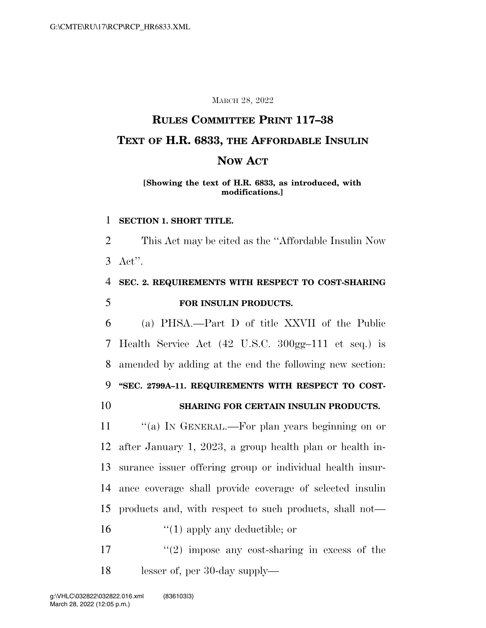#### MARCH 28, 2022

# **RULES COMMITTEE PRINT 117–38 TEXT OF H.R. 6833, THE AFFORDABLE INSULIN NOW ACT**

#### **[Showing the text of H.R. 6833, as introduced, with modifications.]**

#### 1 **SECTION 1. SHORT TITLE.**

2 This Act may be cited as the ''Affordable Insulin Now 3 Act''.

## 4 **SEC. 2. REQUIREMENTS WITH RESPECT TO COST-SHARING**  5 **FOR INSULIN PRODUCTS.**

 (a) PHSA.—Part D of title XXVII of the Public Health Service Act (42 U.S.C. 300gg–111 et seq.) is amended by adding at the end the following new section: **''SEC. 2799A–11. REQUIREMENTS WITH RESPECT TO COST-**

#### 10 **SHARING FOR CERTAIN INSULIN PRODUCTS.**

11 "(a) In GENERAL.—For plan years beginning on or after January 1, 2023, a group health plan or health in- surance issuer offering group or individual health insur- ance coverage shall provide coverage of selected insulin products and, with respect to such products, shall not—

- 16  $\frac{1}{2}$  (1) apply any deductible; or
- 17  $\frac{17}{2}$  impose any cost-sharing in excess of the 18 lesser of, per 30-day supply—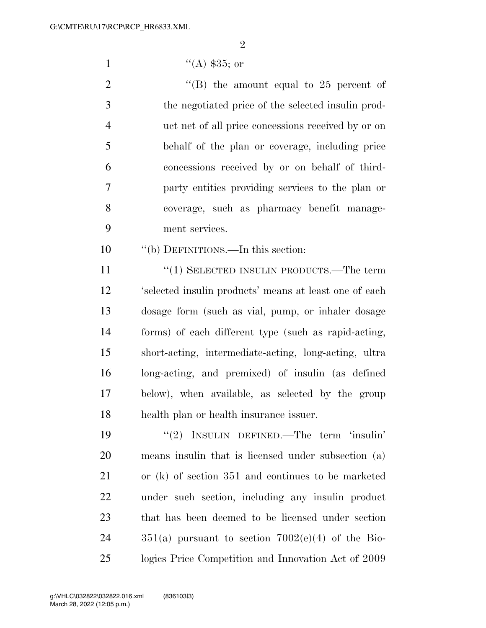$\mathfrak{D}$ 

1  $((A)$  \$35; or

 $\text{``(B)}$  the amount equal to 25 percent of the negotiated price of the selected insulin prod- uct net of all price concessions received by or on behalf of the plan or coverage, including price concessions received by or on behalf of third- party entities providing services to the plan or coverage, such as pharmacy benefit manage-ment services.

''(b) DEFINITIONS.—In this section:

11 "(1) SELECTED INSULIN PRODUCTS.—The term 'selected insulin products' means at least one of each dosage form (such as vial, pump, or inhaler dosage forms) of each different type (such as rapid-acting, short-acting, intermediate-acting, long-acting, ultra long-acting, and premixed) of insulin (as defined below), when available, as selected by the group health plan or health insurance issuer.

 ''(2) INSULIN DEFINED.—The term 'insulin' means insulin that is licensed under subsection (a) or (k) of section 351 and continues to be marketed under such section, including any insulin product that has been deemed to be licensed under section  $351(a)$  pursuant to section  $7002(e)(4)$  of the Bio-logics Price Competition and Innovation Act of 2009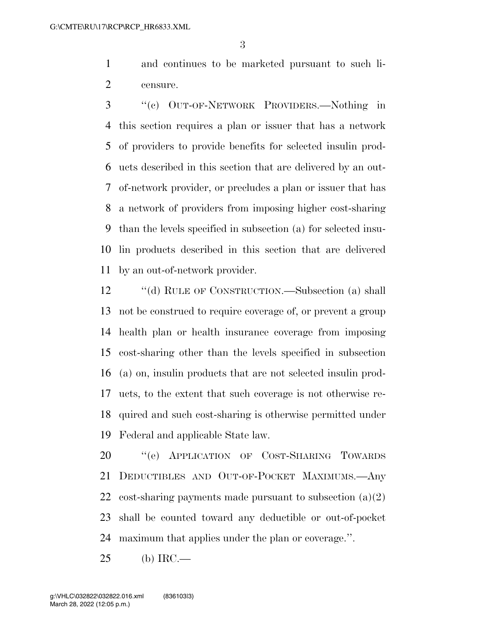and continues to be marketed pursuant to such li-censure.

 ''(c) OUT-OF-NETWORK PROVIDERS.—Nothing in this section requires a plan or issuer that has a network of providers to provide benefits for selected insulin prod- ucts described in this section that are delivered by an out- of-network provider, or precludes a plan or issuer that has a network of providers from imposing higher cost-sharing than the levels specified in subsection (a) for selected insu- lin products described in this section that are delivered by an out-of-network provider.

12 "(d) RULE OF CONSTRUCTION.—Subsection (a) shall not be construed to require coverage of, or prevent a group health plan or health insurance coverage from imposing cost-sharing other than the levels specified in subsection (a) on, insulin products that are not selected insulin prod- ucts, to the extent that such coverage is not otherwise re- quired and such cost-sharing is otherwise permitted under Federal and applicable State law.

 ''(e) APPLICATION OF COST-SHARING TOWARDS DEDUCTIBLES AND OUT-OF-POCKET MAXIMUMS.—Any 22 cost-sharing payments made pursuant to subsection  $(a)(2)$  shall be counted toward any deductible or out-of-pocket maximum that applies under the plan or coverage.''.

(b) IRC.—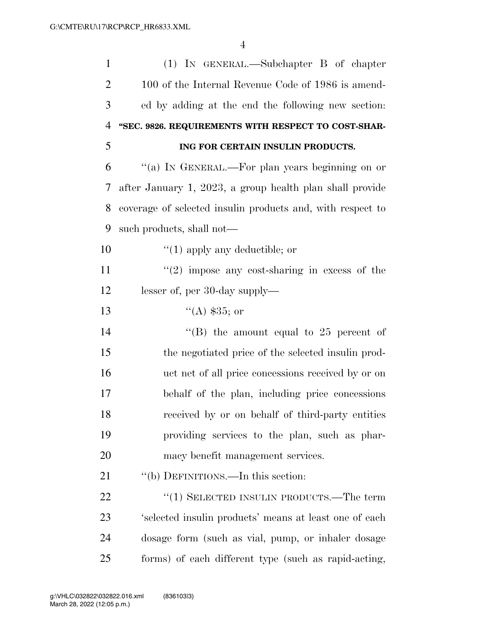| $\mathbf{1}$   | $(1)$ IN GENERAL.—Subchapter B of chapter                  |
|----------------|------------------------------------------------------------|
| $\overline{2}$ | 100 of the Internal Revenue Code of 1986 is amend-         |
| 3              | ed by adding at the end the following new section:         |
| $\overline{4}$ | "SEC. 9826. REQUIREMENTS WITH RESPECT TO COST-SHAR-        |
| 5              | ING FOR CERTAIN INSULIN PRODUCTS.                          |
| 6              | "(a) IN GENERAL.—For plan years beginning on or            |
| 7              | after January 1, 2023, a group health plan shall provide   |
| 8              | coverage of selected insulin products and, with respect to |
| 9              | such products, shall not—                                  |
| 10             | $\lq(1)$ apply any deductible; or                          |
| 11             | $\lq(2)$ impose any cost-sharing in excess of the          |
| 12             | lesser of, per 30-day supply—                              |
| 13             | $(4)$ \$35; or                                             |
| 14             | "(B) the amount equal to $25$ percent of                   |
| 15             | the negotiated price of the selected insuline prod-        |
| 16             | uct net of all price concessions received by or on         |
| 17             | behalf of the plan, including price concessions            |
| 18             | received by or on behalf of third-party entities           |
| 19             | providing services to the plan, such as phar-              |
| 20             | macy benefit management services.                          |
| 21             | "(b) DEFINITIONS.—In this section:                         |
| 22             | $\cdot\cdot(1)$ SELECTED INSULIN PRODUCTS.—The term        |
| 23             | 'selected insulin products' means at least one of each     |
| 24             | dosage form (such as vial, pump, or inhaler dosage         |
| 25             | forms) of each different type (such as rapid-acting,       |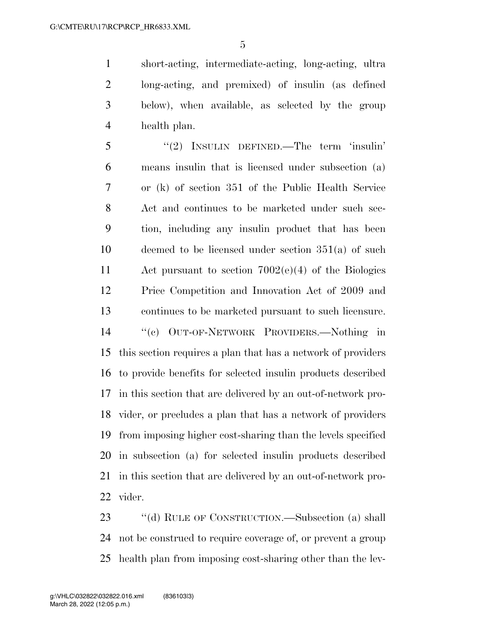short-acting, intermediate-acting, long-acting, ultra long-acting, and premixed) of insulin (as defined below), when available, as selected by the group health plan.

 ''(2) INSULIN DEFINED.—The term 'insulin' means insulin that is licensed under subsection (a) or (k) of section 351 of the Public Health Service Act and continues to be marketed under such sec- tion, including any insulin product that has been deemed to be licensed under section 351(a) of such Act pursuant to section 7002(e)(4) of the Biologics Price Competition and Innovation Act of 2009 and continues to be marketed pursuant to such licensure. ''(c) OUT-OF-NETWORK PROVIDERS.—Nothing in this section requires a plan that has a network of providers to provide benefits for selected insulin products described in this section that are delivered by an out-of-network pro- vider, or precludes a plan that has a network of providers from imposing higher cost-sharing than the levels specified in subsection (a) for selected insulin products described in this section that are delivered by an out-of-network pro-vider.

23 "(d) RULE OF CONSTRUCTION.—Subsection (a) shall not be construed to require coverage of, or prevent a group health plan from imposing cost-sharing other than the lev-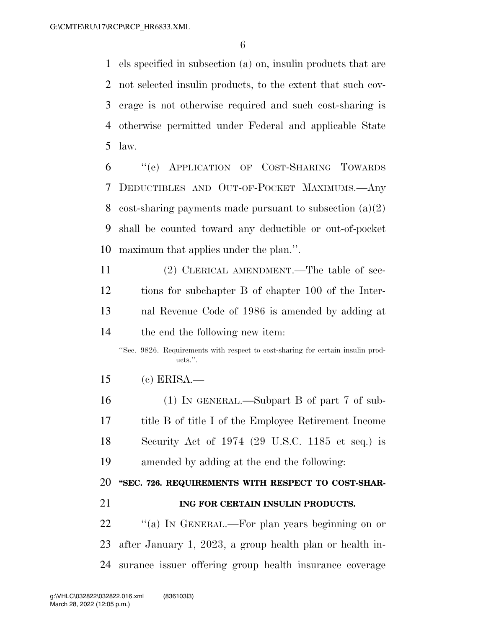els specified in subsection (a) on, insulin products that are not selected insulin products, to the extent that such cov- erage is not otherwise required and such cost-sharing is otherwise permitted under Federal and applicable State law.

 ''(e) APPLICATION OF COST-SHARING TOWARDS DEDUCTIBLES AND OUT-OF-POCKET MAXIMUMS.—Any 8 cost-sharing payments made pursuant to subsection  $(a)(2)$  shall be counted toward any deductible or out-of-pocket maximum that applies under the plan.''.

 (2) CLERICAL AMENDMENT.—The table of sec- tions for subchapter B of chapter 100 of the Inter- nal Revenue Code of 1986 is amended by adding at the end the following new item:

''Sec. 9826. Requirements with respect to cost-sharing for certain insulin products.''.

(c) ERISA.—

 (1) IN GENERAL.—Subpart B of part 7 of sub- title B of title I of the Employee Retirement Income Security Act of 1974 (29 U.S.C. 1185 et seq.) is amended by adding at the end the following:

### **''SEC. 726. REQUIREMENTS WITH RESPECT TO COST-SHAR-**

**ING FOR CERTAIN INSULIN PRODUCTS.** 

22 "(a) In GENERAL.—For plan years beginning on or after January 1, 2023, a group health plan or health in-surance issuer offering group health insurance coverage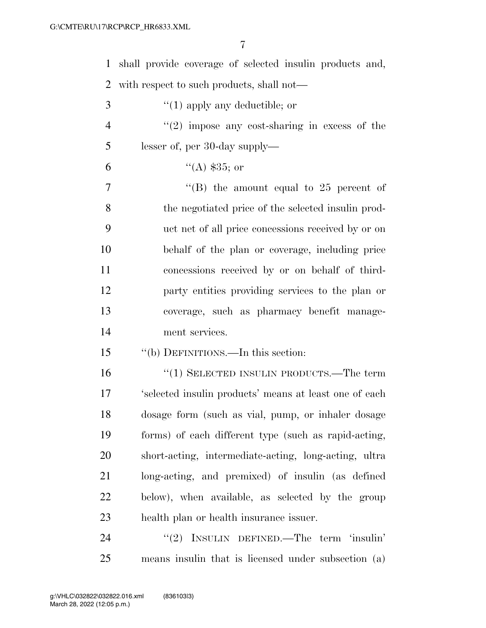| $\mathbf{1}$   | shall provide coverage of selected insulin products and, |
|----------------|----------------------------------------------------------|
| $\overline{2}$ | with respect to such products, shall not—                |
| 3              | $\lq(1)$ apply any deductible; or                        |
| $\overline{4}$ | $(2)$ impose any cost-sharing in excess of the           |
| 5              | lesser of, per 30-day supply—                            |
| 6              | $(4)$ \$35; or                                           |
| 7              | "(B) the amount equal to $25$ percent of                 |
| 8              | the negotiated price of the selected insulin prod-       |
| 9              | uct net of all price concessions received by or on       |
| 10             | behalf of the plan or coverage, including price          |
| 11             | concessions received by or on behalf of third-           |
| 12             | party entities providing services to the plan or         |
| 13             | coverage, such as pharmacy benefit manage-               |
| 14             | ment services.                                           |
| 15             | "(b) DEFINITIONS.—In this section:                       |
| 16             | $``(1)$ SELECTED INSULIN PRODUCTS.—The term              |
| 17             |                                                          |
|                | 'selected insulin products' means at least one of each   |
|                | dosage form (such as vial, pump, or inhaler dosage       |
|                | forms) of each different type (such as rapid-acting,     |
| 18<br>19<br>20 | short-acting, intermediate-acting, long-acting, ultra    |
| 21             | long-acting, and premixed) of insulin (as defined        |
| 22             | below), when available, as selected by the group         |
| 23             | health plan or health insurance issuer.                  |

means insulin that is licensed under subsection (a)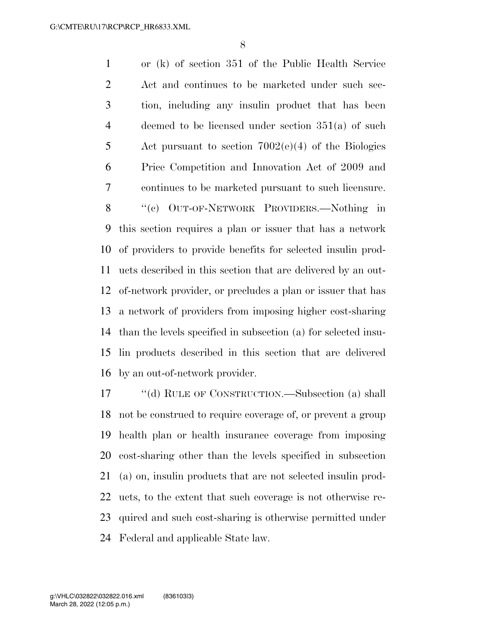or (k) of section 351 of the Public Health Service Act and continues to be marketed under such sec- tion, including any insulin product that has been deemed to be licensed under section 351(a) of such Act pursuant to section 7002(e)(4) of the Biologics Price Competition and Innovation Act of 2009 and continues to be marketed pursuant to such licensure. ''(c) OUT-OF-NETWORK PROVIDERS.—Nothing in this section requires a plan or issuer that has a network of providers to provide benefits for selected insulin prod- ucts described in this section that are delivered by an out- of-network provider, or precludes a plan or issuer that has a network of providers from imposing higher cost-sharing than the levels specified in subsection (a) for selected insu- lin products described in this section that are delivered by an out-of-network provider.

 ''(d) RULE OF CONSTRUCTION.—Subsection (a) shall not be construed to require coverage of, or prevent a group health plan or health insurance coverage from imposing cost-sharing other than the levels specified in subsection (a) on, insulin products that are not selected insulin prod- ucts, to the extent that such coverage is not otherwise re- quired and such cost-sharing is otherwise permitted under Federal and applicable State law.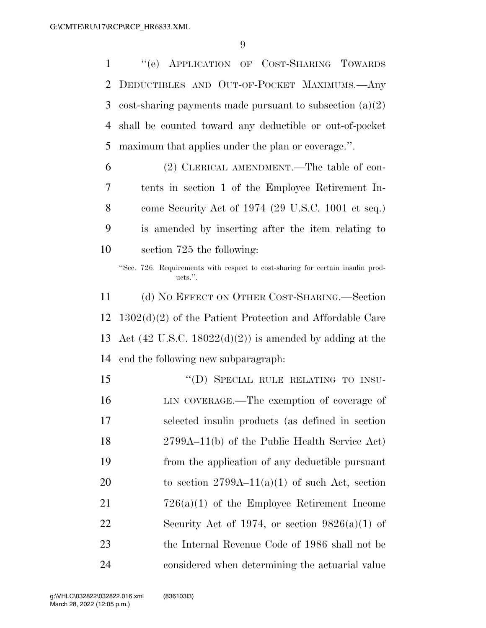''(e) APPLICATION OF COST-SHARING TOWARDS DEDUCTIBLES AND OUT-OF-POCKET MAXIMUMS.—Any cost-sharing payments made pursuant to subsection (a)(2) shall be counted toward any deductible or out-of-pocket maximum that applies under the plan or coverage.''. (2) CLERICAL AMENDMENT.—The table of con- tents in section 1 of the Employee Retirement In- come Security Act of 1974 (29 U.S.C. 1001 et seq.) is amended by inserting after the item relating to section 725 the following: ''Sec. 726. Requirements with respect to cost-sharing for certain insulin products.''. (d) NO EFFECT ON OTHER COST-SHARING.—Section 1302(d)(2) of the Patient Protection and Affordable Care 13 Act (42 U.S.C. 18022 $(d)(2)$ ) is amended by adding at the end the following new subparagraph: 15 "(D) SPECIAL RULE RELATING TO INSU- LIN COVERAGE.—The exemption of coverage of selected insulin products (as defined in section 2799A–11(b) of the Public Health Service Act) from the application of any deductible pursuant 20 to section  $2799A-11(a)(1)$  of such Act, section 726(a)(1) of the Employee Retirement Income 22 Security Act of 1974, or section  $9826(a)(1)$  of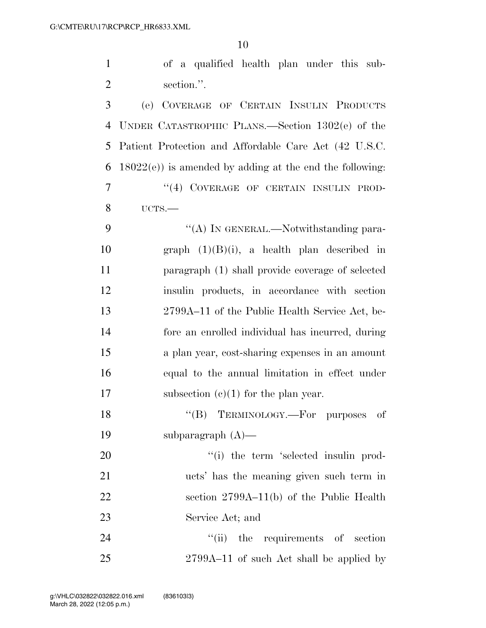| $\mathbf{1}$   | of a qualified health plan under this sub-                  |
|----------------|-------------------------------------------------------------|
| $\overline{2}$ | section.".                                                  |
| 3              | (e) COVERAGE OF CERTAIN INSULIN PRODUCTS                    |
| 4              | UNDER CATASTROPHIC PLANS.—Section $1302(e)$ of the          |
| 5              | Patient Protection and Affordable Care Act (42 U.S.C.       |
| 6              | $18022(e)$ ) is amended by adding at the end the following: |
| 7              | "(4) COVERAGE OF CERTAIN INSULIN PROD-                      |
| 8              | UCTS.                                                       |
| 9              | "(A) IN GENERAL.—Notwithstanding para-                      |
| 10             | graph $(1)(B)(i)$ , a health plan described in              |
| 11             | paragraph (1) shall provide coverage of selected            |
| 12             | insulin products, in accordance with section                |
| 13             | 2799A–11 of the Public Health Service Act, be-              |
| 14             | fore an enrolled individual has incurred, during            |
| 15             | a plan year, cost-sharing expenses in an amount             |
| 16             | equal to the annual limitation in effect under              |
| 17             | subsection $(c)(1)$ for the plan year.                      |
| 18             | "(B) TERMINOLOGY.—For purposes of                           |
| 19             | subparagraph $(A)$ —                                        |
| 20             | "(i) the term 'selected insulin prod-                       |
| 21             | ucts' has the meaning given such term in                    |
| 22             | section $2799A-11(b)$ of the Public Health                  |
| 23             | Service Act; and                                            |
| 24             | "(ii) the requirements of section                           |
| 25             | 2799A-11 of such Act shall be applied by                    |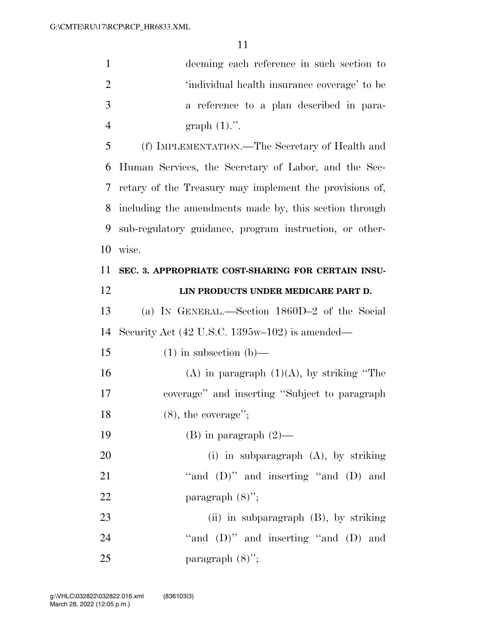| $\mathbf{1}$   | deeming each reference in such section to                        |
|----------------|------------------------------------------------------------------|
|                |                                                                  |
| $\overline{2}$ | 'individual health insurance coverage' to be                     |
| 3              | a reference to a plan described in para-                         |
| $\overline{4}$ | graph $(1)$ .".                                                  |
| 5              | (f) IMPLEMENTATION.—The Secretary of Health and                  |
| 6              | Human Services, the Secretary of Labor, and the Sec-             |
| 7              | retary of the Treasury may implement the provisions of,          |
| 8              | including the amendments made by, this section through           |
| 9              | sub-regulatory guidance, program instruction, or other-          |
| 10             | wise.                                                            |
| 11             | SEC. 3. APPROPRIATE COST-SHARING FOR CERTAIN INSU-               |
| 12             | LIN PRODUCTS UNDER MEDICARE PART D.                              |
| 13             | (a) IN GENERAL.—Section 1860D-2 of the Social                    |
| 14             | Security Act $(42 \text{ U.S.C. } 1395\text{w}-102)$ is amended— |
| 15             | $(1)$ in subsection $(b)$ —                                      |
| 16             | $(A)$ in paragraph $(1)(A)$ , by striking "The                   |
| 17             | coverage" and inserting "Subject to paragraph                    |
| 18             | $(8)$ , the coverage";                                           |
| 19             | $(B)$ in paragraph $(2)$ —                                       |
| 20             | (i) in subparagraph $(A)$ , by striking                          |
| 21             | "and (D)" and inserting "and (D) and                             |
| 22             | paragraph $(8)$ ";                                               |
| 23             | (ii) in subparagraph $(B)$ , by striking                         |
| 24             | "and $(D)$ " and inserting "and $(D)$ and                        |
| 25             | paragraph $(8)$ ";                                               |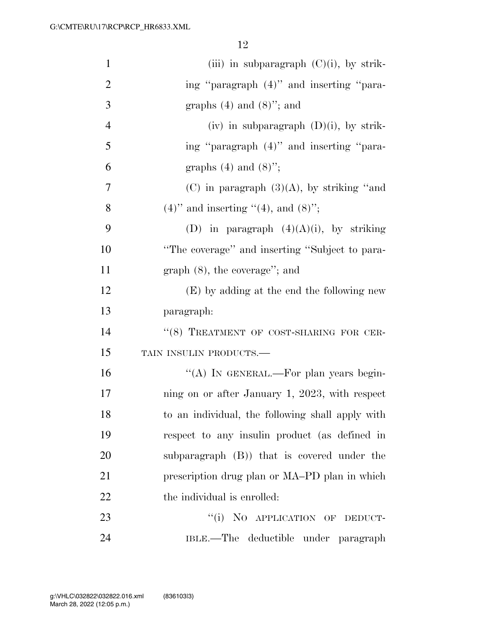| $\mathbf{1}$   | (iii) in subparagraph $(C)(i)$ , by strik-       |
|----------------|--------------------------------------------------|
| $\overline{2}$ | ing "paragraph (4)" and inserting "para-         |
| 3              | graphs $(4)$ and $(8)$ "; and                    |
| $\overline{4}$ | (iv) in subparagraph $(D)(i)$ , by strik-        |
| 5              | ing "paragraph (4)" and inserting "para-         |
| 6              | graphs $(4)$ and $(8)$ ";                        |
| 7              | $(C)$ in paragraph $(3)(A)$ , by striking "and   |
| 8              | $(4)$ " and inserting "(4), and $(8)$ ";         |
| 9              | (D) in paragraph $(4)(A)(i)$ , by striking       |
| 10             | "The coverage" and inserting "Subject to para-   |
| 11             | $graph(8)$ , the coverage"; and                  |
| 12             | (E) by adding at the end the following new       |
| 13             | paragraph:                                       |
| 14             | "(8) TREATMENT OF COST-SHARING FOR CER-          |
| 15             | TAIN INSULIN PRODUCTS.-                          |
| 16             | "(A) IN GENERAL.—For plan years begin-           |
| 17             | ning on or after January 1, 2023, with respect   |
| 18             | to an individual, the following shall apply with |
| 19             | respect to any insulin product (as defined in    |
| 20             | subparagraph $(B)$ ) that is covered under the   |
| 21             | prescription drug plan or MA-PD plan in which    |
| 22             | the individual is enrolled:                      |
| 23             | "(i) NO APPLICATION OF DEDUCT-                   |
| 24             | IBLE.—The deductible under paragraph             |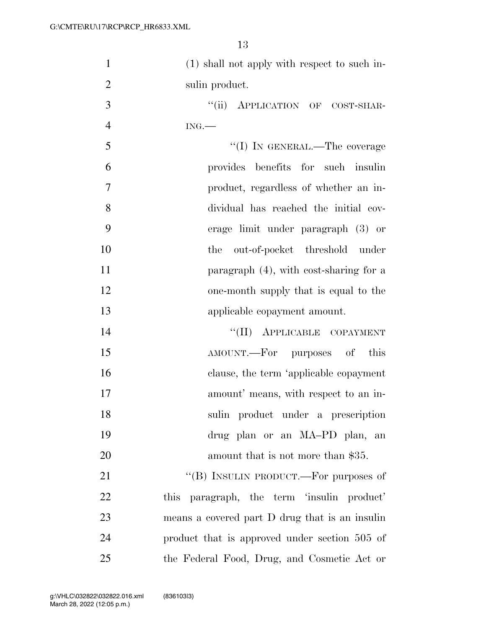| $\mathbf{1}$   | (1) shall not apply with respect to such in-         |
|----------------|------------------------------------------------------|
| $\overline{2}$ | sulin product.                                       |
| 3              | "(ii) APPLICATION OF COST-SHAR-                      |
| $\overline{4}$ | ING.                                                 |
| 5              | "(I) IN GENERAL.—The coverage                        |
| 6              | provides benefits for such insulin                   |
| $\overline{7}$ | product, regardless of whether an in-                |
| 8              | dividual has reached the initial cov-                |
| 9              | erage limit under paragraph (3) or                   |
| 10             | out-of-pocket threshold under<br>the                 |
| 11             | paragraph (4), with cost-sharing for a               |
| 12             | one-month supply that is equal to the                |
| 13             | applicable copayment amount.                         |
| 14             | "(II) APPLICABLE COPAYMENT                           |
| 15             | AMOUNT.—For purposes of<br>this                      |
| 16             | clause, the term 'applicable copayment               |
| 17             | amount' means, with respect to an in-                |
| 18             | sulin product under a prescription                   |
| 19             | drug plan or an MA-PD plan,<br>an                    |
| 20             | amount that is not more than \$35.                   |
| 21             | "(B) INSULIN PRODUCT.—For purposes of                |
| 22             | paragraph, the term 'insulin product'<br><i>this</i> |
| 23             | means a covered part D drug that is an insulin       |
| 24             | product that is approved under section 505 of        |
| 25             | the Federal Food, Drug, and Cosmetic Act or          |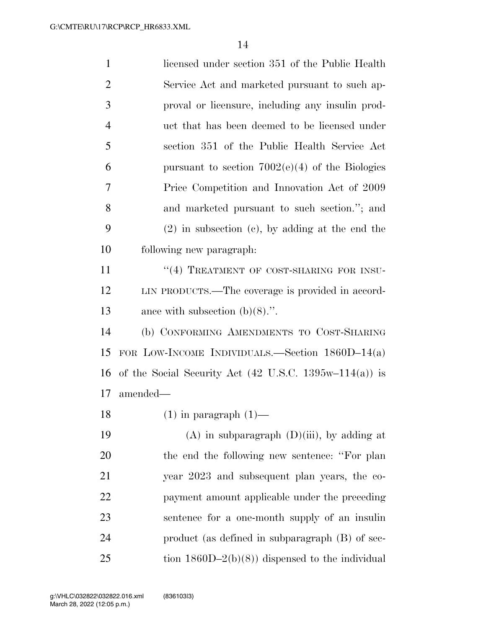| $\mathbf{1}$   | licensed under section 351 of the Public Health                          |
|----------------|--------------------------------------------------------------------------|
| $\overline{2}$ | Service Act and marketed pursuant to such ap-                            |
| 3              | proval or licensure, including any insulin prod-                         |
| $\overline{4}$ | uct that has been deemed to be licensed under                            |
| 5              | section 351 of the Public Health Service Act                             |
| 6              | pursuant to section $7002(e)(4)$ of the Biologies                        |
| 7              | Price Competition and Innovation Act of 2009                             |
| 8              | and marketed pursuant to such section."; and                             |
| 9              | $(2)$ in subsection $(e)$ , by adding at the end the                     |
| 10             | following new paragraph:                                                 |
| 11             | "(4) TREATMENT OF COST-SHARING FOR INSU-                                 |
| 12             | LIN PRODUCTS.—The coverage is provided in accord-                        |
| 13             | ance with subsection $(b)(8)$ .".                                        |
| 14             | (b) CONFORMING AMENDMENTS TO COST-SHARING                                |
| 15             | FOR LOW-INCOME INDIVIDUALS.—Section $1860D-14(a)$                        |
| 16             | of the Social Security Act $(42 \text{ U.S.C. } 1395\text{w}-114(a))$ is |
| 17             | amended—                                                                 |
| 18             | $(1)$ in paragraph $(1)$ —                                               |
| 19             | $(A)$ in subparagraph $(D)(iii)$ , by adding at                          |
| 20             | the end the following new sentence: "For plan                            |
| 21             | year 2023 and subsequent plan years, the co-                             |
| 22             | payment amount applicable under the preceding                            |
| 23             | sentence for a one-month supply of an insulin                            |
| 24             | product (as defined in subparagraph $(B)$ of sec-                        |
| 25             | tion $1860D-2(b)(8)$ dispensed to the individual                         |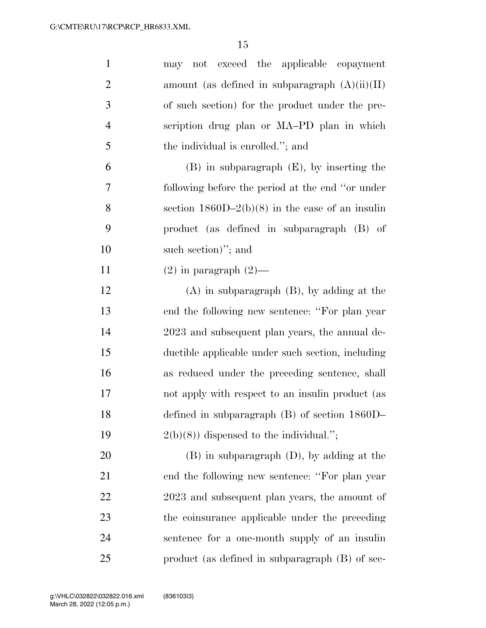| $\mathbf{1}$   | may not exceed the applicable copayment            |
|----------------|----------------------------------------------------|
| $\overline{2}$ | amount (as defined in subparagraph $(A)(ii)(II)$ ) |
| 3              | of such section) for the product under the pre-    |
| $\overline{4}$ | scription drug plan or MA-PD plan in which         |
| 5              | the individual is enrolled."; and                  |
| 6              | $(B)$ in subparagraph $(E)$ , by inserting the     |
| $\overline{7}$ | following before the period at the end "or under"  |
| 8              | section $1860D-2(b)(8)$ in the case of an insulin  |
| 9              | product (as defined in subparagraph (B) of         |
| 10             | such section)"; and                                |
| 11             | $(2)$ in paragraph $(2)$ —                         |
| 12             | $(A)$ in subparagraph $(B)$ , by adding at the     |
| 13             | end the following new sentence: "For plan year"    |
| 14             | 2023 and subsequent plan years, the annual de-     |
| 15             | ductible applicable under such section, including  |
| 16             | as reduced under the preceding sentence, shall     |
| 17             | not apply with respect to an insulin product (as   |
| 18             | defined in subparagraph $(B)$ of section $1860D-$  |
| 19             | $2(b)(8)$ dispensed to the individual.";           |
| 20             | $(B)$ in subparagraph $(D)$ , by adding at the     |
| 21             | end the following new sentence: "For plan year"    |
| 22             | 2023 and subsequent plan years, the amount of      |
| 23             | the coinsurance applicable under the preceding     |
| 24             | sentence for a one-month supply of an insulin      |
| 25             | product (as defined in subparagraph (B) of sec-    |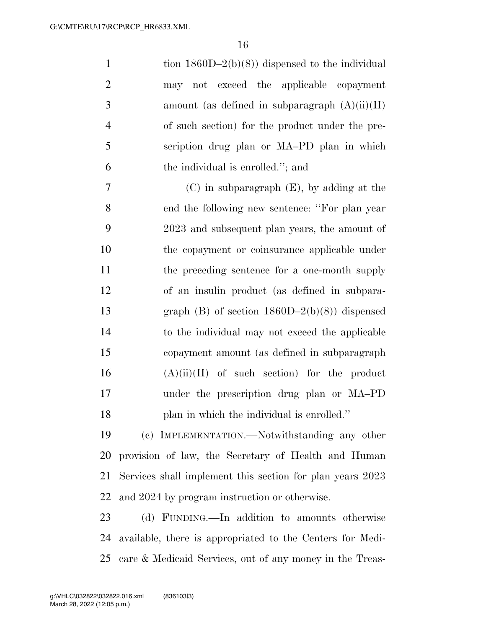1 tion  $1860D-2(b)(8)$  dispensed to the individual may not exceed the applicable copayment 3 amount (as defined in subparagraph  $(A)(ii)(II)$  of such section) for the product under the pre- scription drug plan or MA–PD plan in which the individual is enrolled.''; and

 (C) in subparagraph (E), by adding at the end the following new sentence: ''For plan year 2023 and subsequent plan years, the amount of the copayment or coinsurance applicable under the preceding sentence for a one-month supply of an insulin product (as defined in subpara-13 graph (B) of section  $1860D-2(b)(8)$  dispensed to the individual may not exceed the applicable copayment amount (as defined in subparagraph  $(A)(ii)(II)$  of such section) for the product under the prescription drug plan or MA–PD plan in which the individual is enrolled.''

 (c) IMPLEMENTATION.—Notwithstanding any other provision of law, the Secretary of Health and Human Services shall implement this section for plan years 2023 and 2024 by program instruction or otherwise.

 (d) FUNDING.—In addition to amounts otherwise available, there is appropriated to the Centers for Medi-care & Medicaid Services, out of any money in the Treas